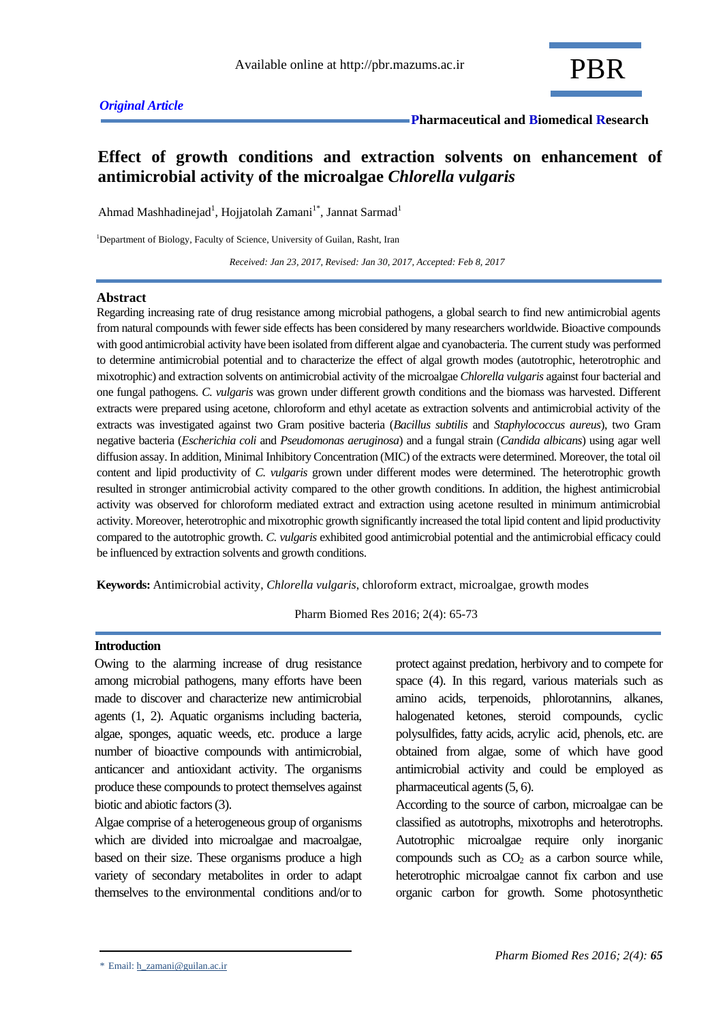## **Effect of growth conditions and extraction solvents on enhancement of antimicrobial activity of the microalgae** *Chlorella vulgaris*

Ahmad Mashhadinejad<sup>1</sup>, Hojjatolah Zamani<sup>1\*</sup>, Jannat Sarmad<sup>1</sup>

<sup>1</sup>Department of Biology, Faculty of Science, University of Guilan, Rasht, Iran

 *Received: Jan 23, 2017, Revised: Jan 30, 2017, Accepted: Feb 8, 2017*

#### **Abstract**

Regarding increasing rate of drug resistance among microbial pathogens, a global search to find new antimicrobial agents from natural compounds with fewer side effects has been considered by many researchers worldwide. Bioactive compounds with good antimicrobial activity have been isolated from different algae and cyanobacteria. The current study was performed to determine antimicrobial potential and to characterize the effect of algal growth modes (autotrophic, heterotrophic and mixotrophic) and extraction solvents on antimicrobial activity of the microalgae *Chlorella vulgaris* against four bacterial and one fungal pathogens. *C. vulgaris* was grown under different growth conditions and the biomass was harvested. Different extracts were prepared using acetone, chloroform and ethyl acetate as extraction solvents and antimicrobial activity of the extracts was investigated against two Gram positive bacteria (*Bacillus subtilis* and *Staphylococcus aureus*), two Gram negative bacteria (*Escherichia coli* and *Pseudomonas aeruginosa*) and a fungal strain (*Candida albicans*) using agar well diffusion assay. In addition, Minimal Inhibitory Concentration (MIC) of the extracts were determined. Moreover, the total oil content and lipid productivity of *C. vulgaris* grown under different modes were determined. The heterotrophic growth resulted in stronger antimicrobial activity compared to the other growth conditions. In addition, the highest antimicrobial activity was observed for chloroform mediated extract and extraction using acetone resulted in minimum antimicrobial activity. Moreover, heterotrophic and mixotrophic growth significantly increased the total lipid content and lipid productivity compared to the autotrophic growth. *C. vulgaris* exhibited good antimicrobial potential and the antimicrobial efficacy could be influenced by extraction solvents and growth conditions.

**Keywords:** Antimicrobial activity, *Chlorella vulgaris*, chloroform extract, microalgae, growth modes

Pharm Biomed Res 2016; 2(4): 65-73

## **Introduction**

Owing to the alarming increase of drug resistance among microbial pathogens, many efforts have been made to discover and characterize new antimicrobial agents (1, 2). Aquatic organisms including bacteria, algae, sponges, aquatic weeds, etc. produce a large number of bioactive compounds with antimicrobial, anticancer and antioxidant activity. The organisms produce these compounds to protect themselves against biotic and abiotic factors (3).

Algae comprise of a heterogeneous group of organisms which are divided into microalgae and macroalgae, based on their size. These organisms produce a high variety of secondary metabolites in order to adapt themselves to the environmental conditions and/or to

protect against predation, herbivory and to compete for space (4). In this regard, various materials such as amino acids, terpenoids, phlorotannins, alkanes, halogenated ketones, steroid compounds, cyclic polysulfides, fatty acids, acrylic acid, phenols, etc. are obtained from algae, some of which have good antimicrobial activity and could be employed as pharmaceutical agents (5, 6).

According to the source of carbon, microalgae can be classified as autotrophs, mixotrophs and heterotrophs. Autotrophic microalgae require only inorganic compounds such as  $CO<sub>2</sub>$  as a carbon source while, heterotrophic microalgae cannot [fix carbon](https://en.wikipedia.org/wiki/Carbon_fixation) and use [organic](https://en.wikipedia.org/wiki/Organic_compound) carbon for growth. Some photosynthetic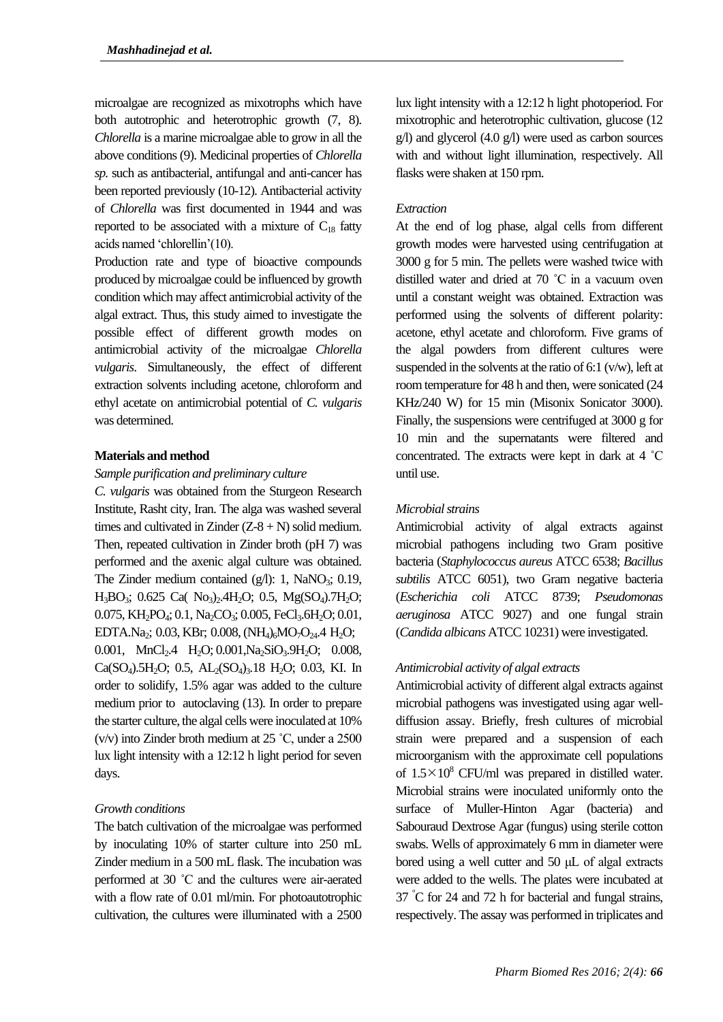microalgae are recognized as mixotrophs which have both autotrophic and heterotrophic growth (7, 8). *Chlorella* is a marine microalgae able to grow in all the above conditions (9). Medicinal properties of *Chlorella sp.* such as antibacterial, antifungal and anti-cancer has been reported previously (10-12). Antibacterial activity of *Chlorella* was first documented in 1944 and was reported to be associated with a mixture of  $C_{18}$  fatty acids named 'chlorellin'(10).

Production rate and type of bioactive compounds produced by microalgae could be influenced by growth condition which may affect antimicrobial activity of the algal extract. Thus, this study aimed to investigate the possible effect of different growth modes on antimicrobial activity of the microalgae *Chlorella vulgaris*. Simultaneously, the effect of different extraction solvents including acetone, chloroform and ethyl acetate on antimicrobial potential of *C. vulgaris* was determined.

#### **Materials and method**

#### *Sample purification and preliminary culture*

*C. vulgaris* was obtained from the Sturgeon Research Institute, Rasht city, Iran. The alga was washed several times and cultivated in Zinder  $(Z-8 + N)$  solid medium. Then, repeated cultivation in Zinder broth (pH 7) was performed and the axenic algal culture was obtained. The Zinder medium contained  $(g/l)$ : 1, NaNO<sub>3</sub>; 0.19, H3BO3; 0.625 Ca( No3)2.4H2O; 0.5, Mg(SO4).7H2O; 0.075, KH<sub>2</sub>PO<sub>4</sub>; 0.1, Na<sub>2</sub>CO<sub>3</sub>; 0.005, FeCl<sub>3</sub>.6H<sub>2</sub>O; 0.01, EDTA.Na<sub>2</sub>; 0.03, KBr; 0.008, (NH<sub>4</sub>)<sub>6</sub>MO<sub>7</sub>O<sub>24</sub>.4 H<sub>2</sub>O; 0.001, MnCl<sub>2</sub>.4 H<sub>2</sub>O; 0.001, Na<sub>2</sub>SiO<sub>3</sub>.9H<sub>2</sub>O; 0.008, Ca(SO<sub>4</sub>).5H<sub>2</sub>O; 0.5, AL<sub>2</sub>(SO<sub>4</sub>)<sub>3</sub>.18 H<sub>2</sub>O; 0.03, KI. In order to solidify, 1.5% agar was added to the culture medium prior to autoclaving (13). In order to prepare the starter culture, the algal cells were inoculated at 10% (v/v) into Zinder broth medium at 25 ˚C, under a 2500 lux light intensity with a 12:12 h light period for seven days.

#### *Growth conditions*

The batch cultivation of the microalgae was performed by inoculating 10% of starter culture into 250 mL Zinder medium in a 500 mL flask. The incubation was performed at 30 ˚C and the cultures were air-aerated with a flow rate of 0.01 ml/min. For photoautotrophic cultivation, the cultures were illuminated with a 2500 lux light intensity with a 12:12 h light photoperiod. For mixotrophic and heterotrophic cultivation, glucose (12 g/l) and glycerol (4.0 g/l) were used as carbon sources with and without light illumination, respectively. All flasks were shaken at 150 rpm.

#### *Extraction*

At the end of log phase, algal cells from different growth modes were harvested using centrifugation at 3000 g for 5 min. The pellets were washed twice with distilled water and dried at 70 ˚C in a vacuum oven until a constant weight was obtained. Extraction was performed using the solvents of different polarity: acetone, ethyl acetate and chloroform. Five grams of the algal powders from different cultures were suspended in the solvents at the ratio of 6:1 (v/w), left at room temperature for 48 h and then, were sonicated (24 KHz/240 W) for 15 min (Misonix Sonicator 3000). Finally, the suspensions were centrifuged at 3000 g for 10 min and the supernatants were filtered and concentrated. The extracts were kept in dark at 4 ˚C until use.

#### *Microbial strains*

Antimicrobial activity of algal extracts against microbial pathogens including two Gram positive bacteria (*Staphylococcus aureus* ATCC 6538; *Bacillus*  subtilis ATCC 6051), two Gram negative bacteria (*Escherichia coli* ATCC 8739; *Pseudomonas aeruginosa* ATCC 9027) and one fungal strain (*Candida albicans* ATCC 10231) were investigated.

#### *Antimicrobial activity of algal extracts*

Antimicrobial activity of different algal extracts against microbial pathogens was investigated using agar welldiffusion assay. Briefly, fresh cultures of microbial strain were prepared and a suspension of each microorganism with the approximate cell populations of  $1.5 \times 10^8$  CFU/ml was prepared in distilled water. Microbial strains were inoculated uniformly onto the surface of Muller-Hinton Agar (bacteria) and Sabouraud Dextrose Agar (fungus) using sterile cotton swabs. Wells of approximately 6 mm in diameter were bored using a well cutter and 50 μL of algal extracts were added to the wells. The plates were incubated at 37 °C for 24 and 72 h for bacterial and fungal strains, respectively. The assay was performed in triplicates and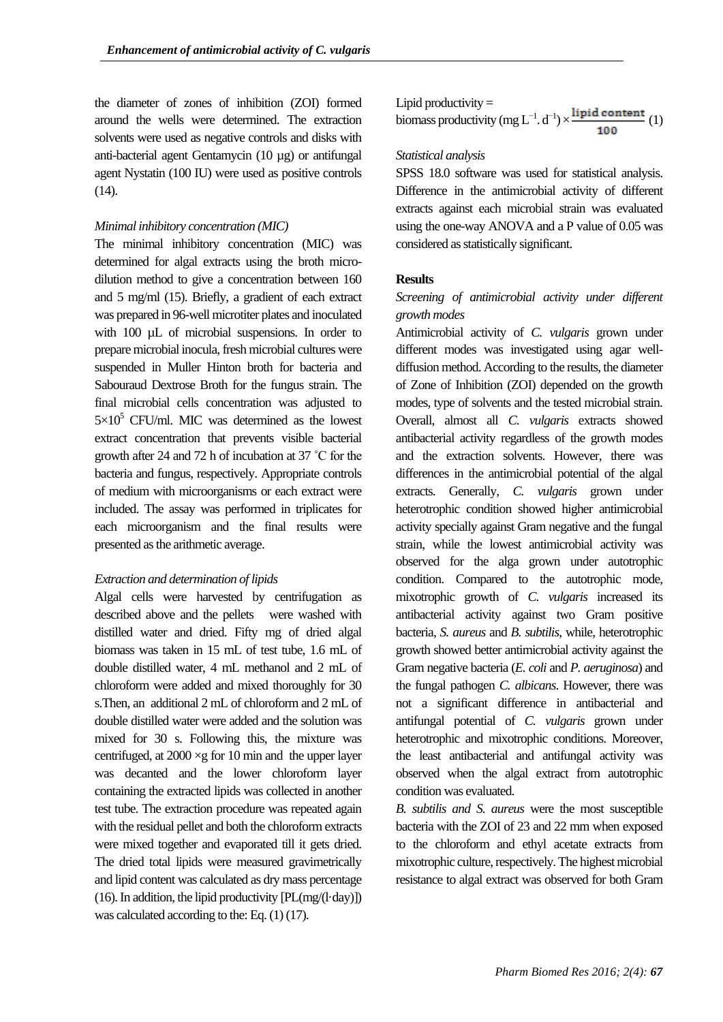the diameter of zones of inhibition (ZOI) formed around the wells were determined. The extraction solvents were used as negative controls and disks with anti-bacterial agent Gentamycin (10 µg) or antifungal agent Nystatin (100 IU) were used as positive controls (14).

#### *Minimal inhibitory concentration (MIC)*

The minimal inhibitory concentration (MIC) was determined for algal extracts using the broth microdilution method to give a concentration between 160 and 5 mg/ml (15). Briefly, a gradient of each extract was prepared in 96-well microtiter plates and inoculated with 100 µL of microbial suspensions. In order to prepare microbial inocula, fresh microbial cultures were suspended in Muller Hinton broth for bacteria and Sabouraud Dextrose Broth for the fungus strain. The final microbial cells concentration was adjusted to  $5\times10^5$  CFU/ml. MIC was determined as the lowest extract concentration that prevents visible bacterial growth after 24 and 72 h of incubation at 37 ˚C for the bacteria and fungus, respectively. Appropriate controls of medium with microorganisms or each extract were included. The assay was performed in triplicates for each microorganism and the final results were presented as the arithmetic average.

#### *Extraction and determination of lipids*

Algal cells were harvested by centrifugation as described above and the pellets were washed with distilled water and dried. Fifty mg of dried algal biomass was taken in 15 mL of test tube, 1.6 mL of double distilled water, 4 mL methanol and 2 mL of chloroform were added and mixed thoroughly for 30 s.Then, an additional 2 mL of chloroform and 2 mL of double distilled water were added and the solution was mixed for 30 s. Following this, the mixture was centrifuged, at  $2000 \times g$  for 10 min and the upper layer was decanted and the lower chloroform layer containing the extracted lipids was collected in another test tube. The extraction procedure was repeated again with the residual pellet and both the chloroform extracts were mixed together and evaporated till it gets dried. The dried total lipids were measured gravimetrically and lipid content was calculated as dry mass percentage (16). In addition, the lipid productivity [PL(mg/(l·day)]) was calculated according to the: Eq. (1) (17).

Lipid productivity =  
biomass productivity (mg L<sup>-1</sup>. d<sup>-1</sup>)
$$
\times
$$
<sup>lipid content</sup> (1)

#### *Statistical analysis*

SPSS 18.0 software was used for statistical analysis. Difference in the antimicrobial activity of different extracts against each microbial strain was evaluated using the one-way ANOVA and a P value of 0.05 was considered as statistically significant.

#### **Results**

## *Screening of antimicrobial activity under different growth modes*

Antimicrobial activity of *C. vulgaris* grown under different modes was investigated using agar welldiffusion method. According to the results, the diameter of Zone of Inhibition (ZOI) depended on the growth modes, type of solvents and the tested microbial strain. Overall, almost all *C. vulgaris* extracts showed antibacterial activity regardless of the growth modes and the extraction solvents. However, there was differences in the antimicrobial potential of the algal extracts. Generally, *C. vulgaris* grown under heterotrophic condition showed higher antimicrobial activity specially against Gram negative and the fungal strain, while the lowest antimicrobial activity was observed for the alga grown under autotrophic condition. Compared to the autotrophic mode, mixotrophic growth of *C. vulgaris* increased its antibacterial activity against two Gram positive bacteria, *S. aureus* and *B. subtilis*, while, heterotrophic growth showed better antimicrobial activity against the Gram negative bacteria (*E. coli* and *P. aeruginosa*) and the fungal pathogen *C. albicans*. However, there was not a significant difference in antibacterial and antifungal potential of *C. vulgaris* grown under heterotrophic and mixotrophic conditions. Moreover, the least antibacterial and antifungal activity was observed when the algal extract from autotrophic condition was evaluated.

*B. subtilis and S. aureus* were the most susceptible bacteria with the ZOI of 23 and 22 mm when exposed to the chloroform and ethyl acetate extracts from mixotrophic culture, respectively. The highest microbial resistance to algal extract was observed for both Gram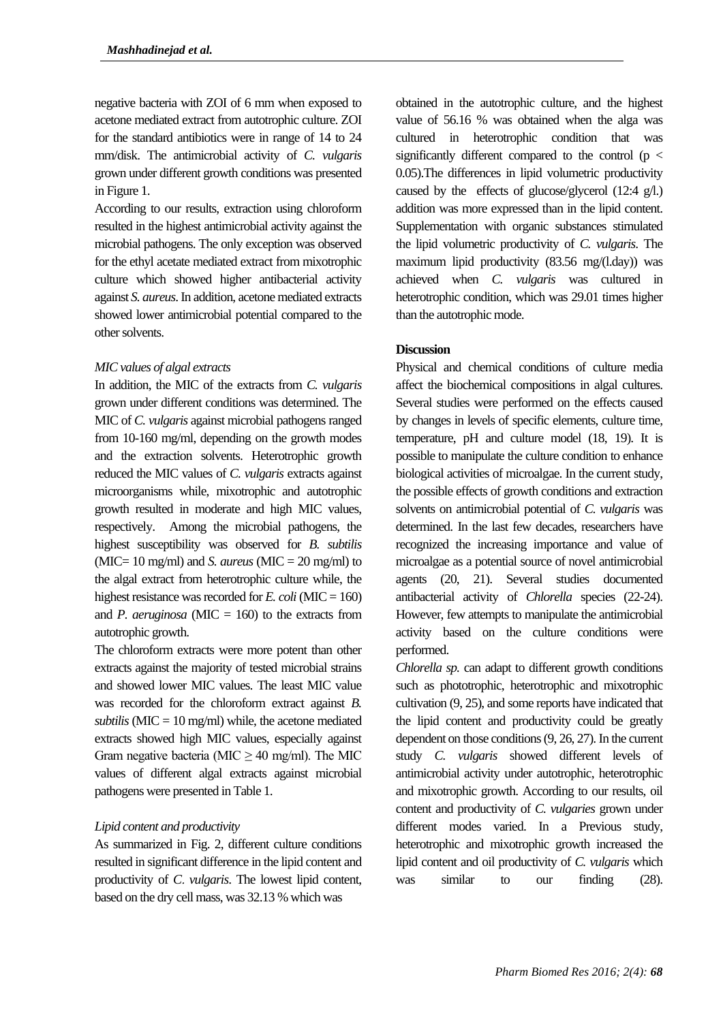negative bacteria with ZOI of 6 mm when exposed to acetone mediated extract from autotrophic culture. ZOI for the standard antibiotics were in range of 14 to 24 mm/disk. The antimicrobial activity of *C. vulgaris* grown under different growth conditions was presented in Figure 1.

According to our results, extraction using chloroform resulted in the highest antimicrobial activity against the microbial pathogens. The only exception was observed for the ethyl acetate mediated extract from mixotrophic culture which showed higher antibacterial activity against *S. aureus*. In addition, acetone mediated extracts showed lower antimicrobial potential compared to the other solvents.

## *MIC values of algal extracts*

In addition, the MIC of the extracts from *C. vulgaris* grown under different conditions was determined. The MIC of *C. vulgaris* against microbial pathogens ranged from 10-160 mg/ml, depending on the growth modes and the extraction solvents. Heterotrophic growth reduced the MIC values of *C. vulgaris* extracts against microorganisms while, mixotrophic and autotrophic growth resulted in moderate and high MIC values, respectively. Among the microbial pathogens, the highest susceptibility was observed for *B. subtilis* ( $MIC = 10$  mg/ml) and *S. aureus* ( $MIC = 20$  mg/ml) to the algal extract from heterotrophic culture while, the highest resistance was recorded for *E. coli* (MIC = 160) and *P. aeruginosa* ( $\text{MIC} = 160$ ) to the extracts from autotrophic growth.

The chloroform extracts were more potent than other extracts against the majority of tested microbial strains and showed lower MIC values. The least MIC value was recorded for the chloroform extract against *B. subtilis* ( $MIC = 10$  mg/ml) while, the acetone mediated extracts showed high MIC values, especially against Gram negative bacteria (MIC  $\geq$  40 mg/ml). The MIC values of different algal extracts against microbial pathogens were presented in Table 1.

## *Lipid content and productivity*

As summarized in Fig. 2, different culture conditions resulted in significant difference in the lipid content and productivity of *C*. *vulgaris*. The lowest lipid content, based on the dry cell mass, was 32.13 % which was

obtained in the autotrophic culture, and the highest value of 56.16 % was obtained when the alga was cultured in heterotrophic condition that was significantly different compared to the control ( $p <$ 0.05).The differences in lipid volumetric productivity caused by the effects of glucose/glycerol (12:4 g/l.) addition was more expressed than in the lipid content. Supplementation with organic substances stimulated the lipid volumetric productivity of *C. vulgaris*. The maximum lipid productivity (83.56 mg/(l.day)) was achieved when *C. vulgaris* was cultured in heterotrophic condition, which was 29.01 times higher than the autotrophic mode.

## **Discussion**

Physical and chemical conditions of culture media affect the biochemical compositions in algal cultures. Several studies were performed on the effects caused by changes in levels of specific elements, culture time, temperature, pH and culture model (18, 19). It is possible to manipulate the culture condition to enhance biological activities of microalgae. In the current study, the possible effects of growth conditions and extraction solvents on antimicrobial potential of *C. vulgaris* was determined. In the last few decades, researchers have recognized the increasing importance and value of microalgae as a potential source of novel antimicrobial agents (20, 21). Several studies documented antibacterial activity of *Chlorella* species (22-24). However, few attempts to manipulate the antimicrobial activity based on the culture conditions were performed.

*Chlorella sp.* can adapt to different growth conditions such as phototrophic, heterotrophic and mixotrophic cultivation (9, 25), and some reports have indicated that the lipid content and productivity could be greatly dependent on those conditions (9, 26, 27). In the current study *C. vulgaris* showed different levels of antimicrobial activity under autotrophic, heterotrophic and mixotrophic growth. According to our results, oil content and productivity of *C. vulgaries* grown under different modes varied. In a Previous study, heterotrophic and mixotrophic growth increased the lipid content and oil productivity of *C. vulgaris* which was similar to our finding (28).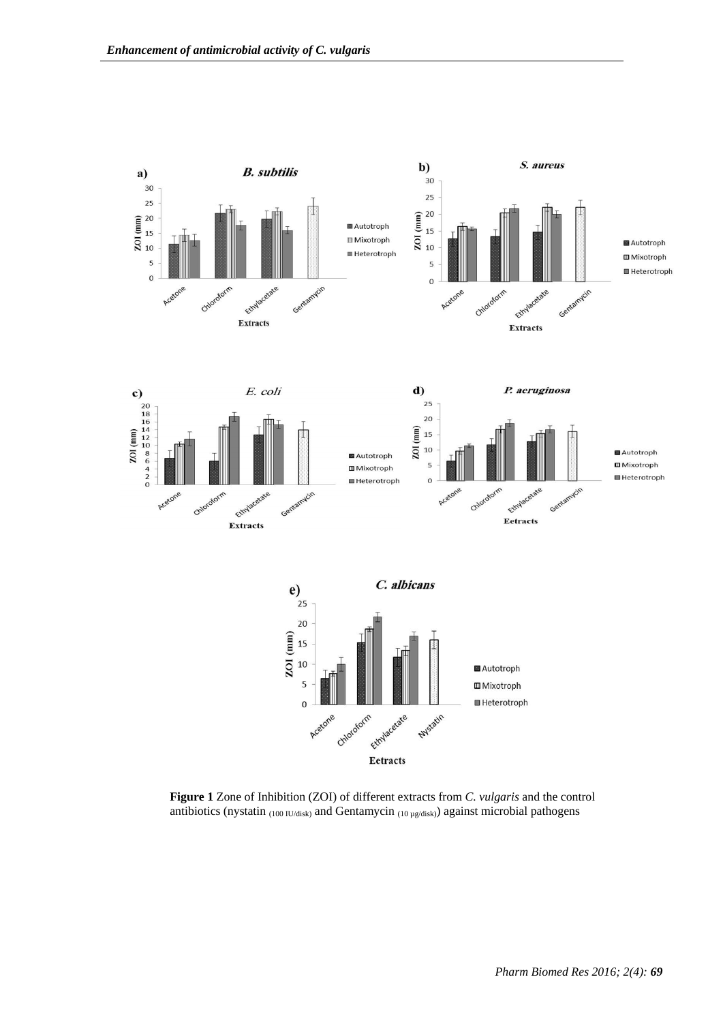

**Figure 1** Zone of Inhibition (ZOI) of different extracts from *C. vulgaris* and the control antibiotics (nystatin  $_{(100 \text{ IU/disk})}$  and Gentamycin  $_{(10 \text{ µg/disk})}$ ) against microbial pathogens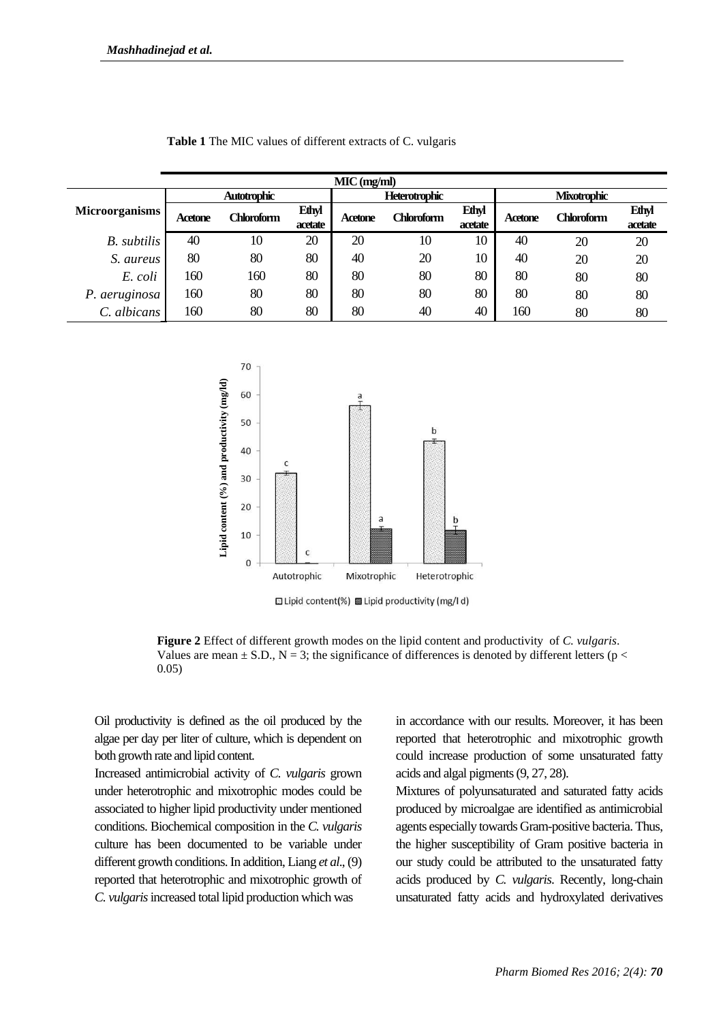| $MIC$ (mg/ml)         |                    |                   |                         |                      |            |                         |                    |            |                         |  |
|-----------------------|--------------------|-------------------|-------------------------|----------------------|------------|-------------------------|--------------------|------------|-------------------------|--|
|                       | <b>Autotrophic</b> |                   |                         | <b>Heterotrophic</b> |            |                         | <b>Mixotrophic</b> |            |                         |  |
| <b>Microorganisms</b> | Acetone            | <b>Chloroform</b> | <b>Ethyl</b><br>acetate | Acetone              | Chloroform | <b>Ethyl</b><br>acetate | Acetone            | Chloroform | <b>Ethyl</b><br>acetate |  |
| B. subtilis           | 40                 | 10                | 20                      | 20                   | 10         | 10                      | 40                 | 20         | 20                      |  |
| S. aureus             | 80                 | 80                | 80                      | 40                   | 20         | 10                      | 40                 | 20         | 20                      |  |
| E. coli               | 160                | 160               | 80                      | 80                   | 80         | 80                      | 80                 | 80         | 80                      |  |
| P. aeruginosa         | 160                | 80                | 80                      | 80                   | 80         | 80                      | 80                 | 80         | 80                      |  |
| C. albicans           | 160                | 80                | 80                      | 80                   | 40         | 40                      | 160                | 80         | 80                      |  |

| Table 1 The MIC values of different extracts of C. vulgaris |  |  |  |
|-------------------------------------------------------------|--|--|--|
|-------------------------------------------------------------|--|--|--|



**Ellipid content(%)** allipid productivity (mg/ld)

**Figure 2** Effect of different growth modes on the lipid content and productivity of *C. vulgaris*. Values are mean  $\pm$  S.D., N = 3; the significance of differences is denoted by different letters (p < 0.05)

Oil productivity is defined as the oil produced by the algae per day per liter of culture, which is dependent on both growth rate and lipid content.

Increased antimicrobial activity of *C. vulgaris* grown under heterotrophic and mixotrophic modes could be associated to higher lipid productivity under mentioned conditions. Biochemical composition in the *C. vulgaris* culture has been documented to be variable under different growth conditions. In addition, Liang *et al*., (9) reported that heterotrophic and mixotrophic growth of *C. vulgaris*increased total lipid production which was

in accordance with our results. Moreover, it has been reported that heterotrophic and mixotrophic growth could increase production of some unsaturated fatty acids and algal pigments (9, 27, 28).

Mixtures of polyunsaturated and saturated fatty acids produced by microalgae are identified as antimicrobial agents especially towards Gram-positive bacteria. Thus, the higher susceptibility of Gram positive bacteria in our study could be attributed to the unsaturated fatty acids produced by *C. vulgaris*. Recently, long-chain unsaturated fatty acids and hydroxylated derivatives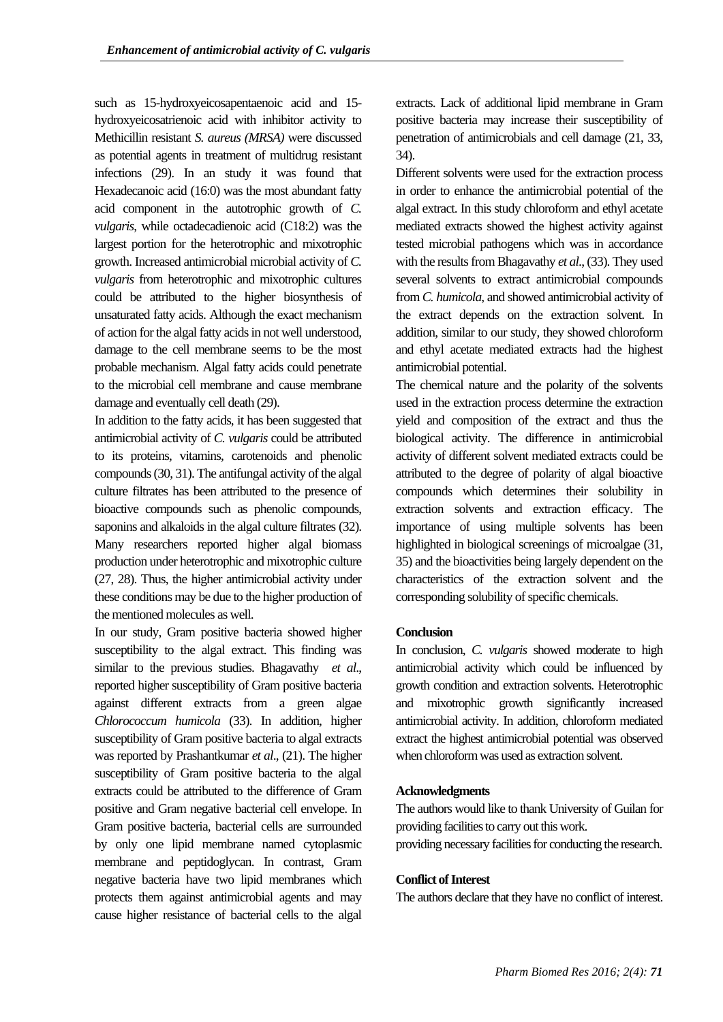such as 15-hydroxyeicosapentaenoic acid and 15 hydroxyeicosatrienoic acid with inhibitor activity to Methicillin resistant *S. aureus (MRSA)* were discussed as potential agents in treatment of multidrug resistant infections (29). In an study it was found that Hexadecanoic acid (16:0) was the most abundant fatty acid component in the autotrophic growth of *C. vulgaris*, while octadecadienoic acid (C18:2) was the largest portion for the heterotrophic and mixotrophic growth. Increased antimicrobial microbial activity of *C. vulgaris* from heterotrophic and mixotrophic cultures could be attributed to the higher biosynthesis of unsaturated fatty acids. Although the exact mechanism of action for the algal fatty acids in not well understood, damage to the cell membrane seems to be the most probable mechanism. Algal fatty acids could penetrate to the microbial cell membrane and cause membrane damage and eventually cell death (29).

In addition to the fatty acids, it has been suggested that antimicrobial activity of *C. vulgaris* could be attributed to its proteins, vitamins, carotenoids and phenolic compounds (30, 31). The antifungal activity of the algal culture filtrates has been attributed to the presence of bioactive compounds such as phenolic compounds, saponins and alkaloids in the algal culture filtrates (32). Many researchers reported higher algal biomass production under heterotrophic and mixotrophic culture (27, 28). Thus, the higher antimicrobial activity under these conditions may be due to the higher production of the mentioned molecules as well.

In our study, Gram positive bacteria showed higher susceptibility to the algal extract. This finding was similar to the previous studies. Bhagavathy *et al*., reported higher susceptibility of Gram positive bacteria against different extracts from a green algae *Chlorococcum humicola* (33). In addition, higher susceptibility of Gram positive bacteria to algal extracts was reported by Prashantkumar *et al*., (21). The higher susceptibility of Gram positive bacteria to the algal extracts could be attributed to the difference of Gram positive and Gram negative bacterial cell envelope. In Gram positive bacteria, bacterial cells are surrounded by only one lipid membrane named cytoplasmic membrane and peptidoglycan. In contrast, Gram negative bacteria have two lipid membranes which protects them against antimicrobial agents and may cause higher resistance of bacterial cells to the algal

extracts. Lack of additional lipid membrane in Gram positive bacteria may increase their susceptibility of penetration of antimicrobials and cell damage (21, 33, 34).

Different solvents were used for the extraction process in order to enhance the antimicrobial potential of the algal extract. In this study chloroform and ethyl acetate mediated extracts showed the highest activity against tested microbial pathogens which was in accordance with the results from Bhagavathy *et al*., (33). They used several solvents to extract antimicrobial compounds from *C. humicola*, and showed antimicrobial activity of the extract depends on the extraction solvent. In addition, similar to our study, they showed chloroform and ethyl acetate mediated extracts had the highest antimicrobial potential.

The chemical nature and the polarity of the solvents used in the extraction process determine the extraction yield and composition of the extract and thus the biological activity. The difference in antimicrobial activity of different solvent mediated extracts could be attributed to the degree of polarity of algal bioactive compounds which determines their solubility in extraction solvents and extraction efficacy. The importance of using multiple solvents has been highlighted in biological screenings of microalgae (31, 35) and the bioactivities being largely dependent on the characteristics of the extraction solvent and the corresponding solubility of specific chemicals.

#### **Conclusion**

In conclusion, *C. vulgaris* showed moderate to high antimicrobial activity which could be influenced by growth condition and extraction solvents. Heterotrophic and mixotrophic growth significantly increased antimicrobial activity. In addition, chloroform mediated extract the highest antimicrobial potential was observed when chloroform was used as extraction solvent.

## **Acknowledgments**

The authors would like to thank University of Guilan for providing facilities to carry out this work.

# providing necessary facilities for conducting the research.

#### **Conflict of Interest**

The authors declare that they have no conflict of interest.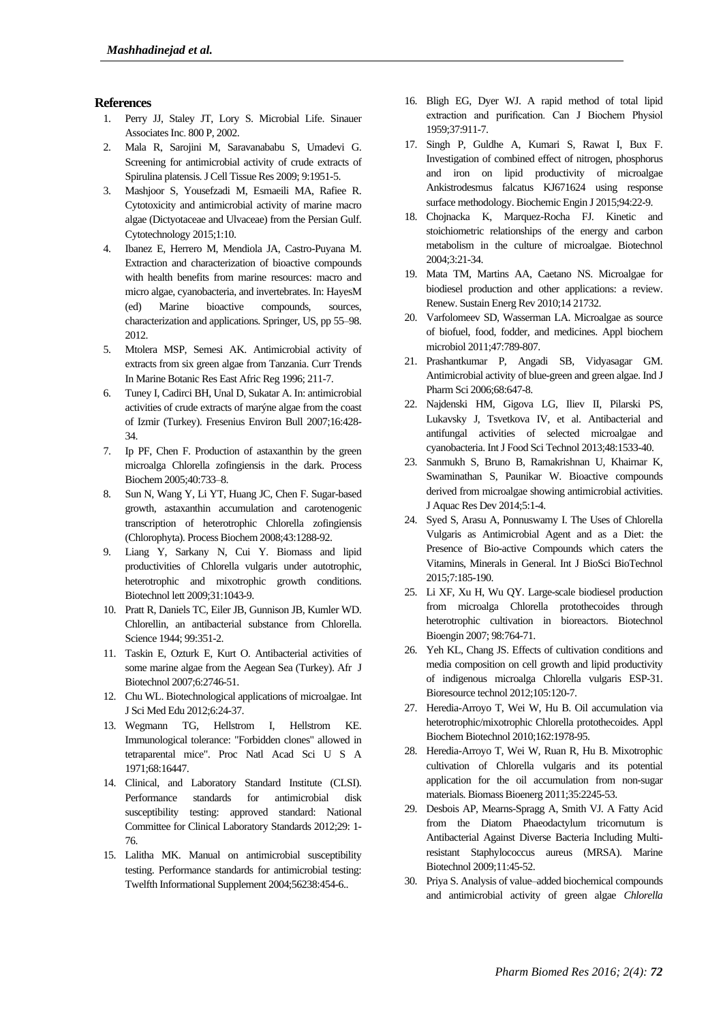#### **References**

- 1. Perry JJ, Staley JT, Lory S. Microbial Life. Sinauer Associates Inc. 800 P, 2002.
- 2. Mala R, Sarojini M, Saravanababu S, Umadevi G. Screening for antimicrobial activity of crude extracts of Spirulina platensis. J Cell Tissue Res 2009; 9:1951-5.
- 3. Mashjoor S, Yousefzadi M, Esmaeili MA, Rafiee R. Cytotoxicity and antimicrobial activity of marine macro algae (Dictyotaceae and Ulvaceae) from the Persian Gulf. Cytotechnology 2015;1:10.
- 4. Ibanez E, Herrero M, Mendiola JA, Castro-Puyana M. Extraction and characterization of bioactive compounds with health benefits from marine resources: macro and micro algae, cyanobacteria, and invertebrates. In: HayesM (ed) Marine bioactive compounds, sources, characterization and applications. Springer, US, pp 55–98. 2012.
- 5. Mtolera MSP, Semesi AK. Antimicrobial activity of extracts from six green algae from Tanzania. Curr Trends In Marine Botanic Res East Afric Reg 1996; 211-7.
- 6. Tuney I, Cadirci BH, Unal D, Sukatar A. In: antimicrobial activities of crude extracts of marýne algae from the coast of Izmir (Turkey). Fresenius Environ Bull 2007;16:428- 34.
- 7. Ip PF, Chen F. Production of astaxanthin by the green microalga Chlorella zofingiensis in the dark. Process Biochem 2005;40:733–8.
- 8. Sun N, Wang Y, Li YT, Huang JC, Chen F. Sugar-based growth, astaxanthin accumulation and carotenogenic transcription of heterotrophic Chlorella zofingiensis (Chlorophyta). Process Biochem 2008;43:1288-92.
- 9. Liang Y, Sarkany N, Cui Y. Biomass and lipid productivities of Chlorella vulgaris under autotrophic, heterotrophic and mixotrophic growth conditions. Biotechnol lett 2009;31:1043-9.
- 10. Pratt R, Daniels TC, Eiler JB, Gunnison JB, Kumler WD. Chlorellin, an antibacterial substance from Chlorella. Science 1944; 99:351-2.
- 11. Taskin E, Ozturk E, Kurt O. Antibacterial activities of some marine algae from the Aegean Sea (Turkey). Afr J Biotechnol 2007;6:2746-51.
- 12. Chu WL. Biotechnological applications of microalgae. Int J Sci Med Edu 2012;6:24-37.
- 13. Wegmann TG, Hellstrom I, Hellstrom KE. Immunological tolerance: "Forbidden clones" allowed in tetraparental mice". Proc Natl Acad Sci U S A 1971;68:16447.
- 14. Clinical, and Laboratory Standard Institute (CLSI). Performance standards for antimicrobial disk susceptibility testing: approved standard: National Committee for Clinical Laboratory Standards 2012;29: 1- 76.
- 15. Lalitha MK. Manual on antimicrobial susceptibility testing. Performance standards for antimicrobial testing: Twelfth Informational Supplement 2004;56238:454-6..
- 16. Bligh EG, Dyer WJ. A rapid method of total lipid extraction and purification. Can J Biochem Physiol 1959;37:911-7.
- 17. Singh P, Guldhe A, Kumari S, Rawat I, Bux F. Investigation of combined effect of nitrogen, phosphorus and iron on lipid productivity of microalgae Ankistrodesmus falcatus KJ671624 using response surface methodology. Biochemic Engin J 2015;94:22-9.
- 18. Chojnacka K, Marquez-Rocha FJ. Kinetic and stoichiometric relationships of the energy and carbon metabolism in the culture of microalgae. Biotechnol 2004;3:21-34.
- 19. Mata TM, Martins AA, Caetano NS. Microalgae for biodiesel production and other applications: a review. Renew. Sustain Energ Rev 2010;14 21732.
- 20. Varfolomeev SD, Wasserman LA. Microalgae as source of biofuel, food, fodder, and medicines. Appl biochem microbiol 2011;47:789-807.
- 21. Prashantkumar P, Angadi SB, Vidyasagar GM. Antimicrobial activity of blue-green and green algae. Ind J Pharm Sci 2006;68:647-8.
- 22. Najdenski HM, Gigova LG, Iliev II, Pilarski PS, Lukavsky J, Tsvetkova IV, et al. Antibacterial and antifungal activities of selected microalgae and cyanobacteria. Int J Food Sci Technol 2013;48:1533-40.
- 23. Sanmukh S, Bruno B, Ramakrishnan U, Khairnar K, Swaminathan S, Paunikar W. Bioactive compounds derived from microalgae showing antimicrobial activities. J Aquac Res Dev 2014;5:1-4.
- 24. Syed S, Arasu A, Ponnuswamy I. The Uses of Chlorella Vulgaris as Antimicrobial Agent and as a Diet: the Presence of Bio-active Compounds which caters the Vitamins, Minerals in General. Int J BioSci BioTechnol 2015;7:185-190.
- 25. Li XF, Xu H, Wu QY. Large-scale biodiesel production from microalga Chlorella protothecoides through heterotrophic cultivation in bioreactors. Biotechnol Bioengin 2007; 98:764-71.
- 26. Yeh KL, Chang JS. Effects of cultivation conditions and media composition on cell growth and lipid productivity of indigenous microalga Chlorella vulgaris ESP-31. Bioresource technol 2012;105:120-7.
- 27. [Heredia-Arroyo T,](http://www.ncbi.nlm.nih.gov/pubmed/?term=Heredia-Arroyo%20T%5BAuthor%5D&cauthor=true&cauthor_uid=20443076) [Wei](http://www.ncbi.nlm.nih.gov/pubmed/?term=Wei%20W%5BAuthor%5D&cauthor=true&cauthor_uid=20443076) W, [Hu](http://www.ncbi.nlm.nih.gov/pubmed/?term=Hu%20B%5BAuthor%5D&cauthor=true&cauthor_uid=20443076) B. Oil accumulation via heterotrophic/mixotrophic Chlorella protothecoides. [Appl](http://www.ncbi.nlm.nih.gov/pubmed/20443076)  [Biochem Biotechnol](http://www.ncbi.nlm.nih.gov/pubmed/20443076) 2010;162:1978-95.
- 28. Heredia-Arroyo T, Wei W, Ruan R, Hu B. Mixotrophic cultivation of Chlorella vulgaris and its potential application for the oil accumulation from non-sugar materials. Biomass Bioenerg 2011;35:2245-53.
- 29. Desbois AP, Mearns-Spragg A, Smith VJ. A Fatty Acid from the Diatom Phaeodactylum tricornutum is Antibacterial Against Diverse Bacteria Including Multiresistant Staphylococcus aureus (MRSA). Marine Biotechnol 2009;11:45-52.
- 30. Priya S. Analysis of value–added biochemical compounds and antimicrobial activity of green algae *Chlorella*